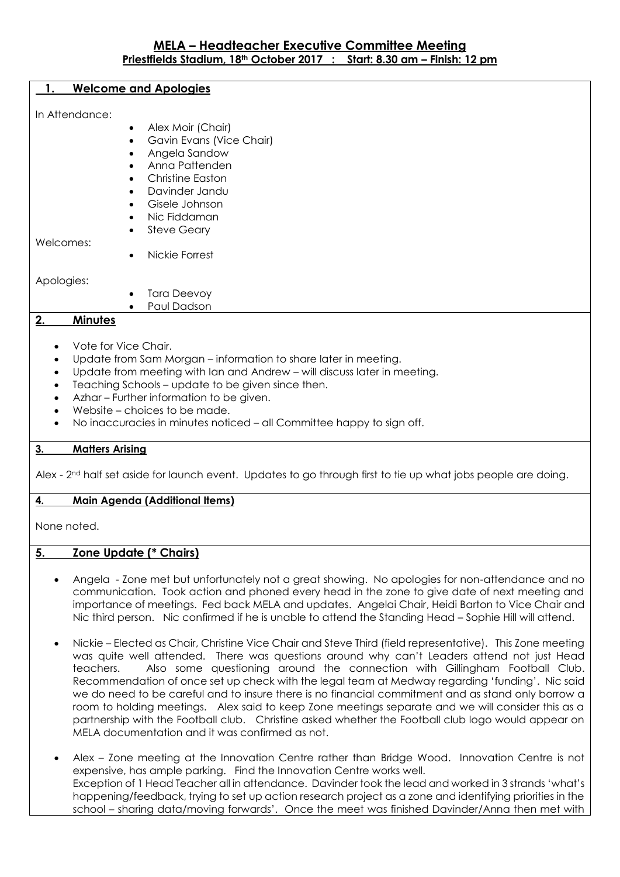#### **1. Welcome and Apologies**

In Attendance:

- Alex Moir (Chair)
	- Gavin Evans (Vice Chair)
- Angela Sandow
- Anna Pattenden
- Christine Easton
- Davinder Jandu
- Gisele Johnson
- Nic Fiddaman
- Steve Geary

Welcomes:

Nickie Forrest

Apologies:

- Tara Deevoy
- Paul Dadson

# **2. Minutes**

- Vote for Vice Chair.
- Update from Sam Morgan information to share later in meeting.
- Update from meeting with Ian and Andrew will discuss later in meeting.
- Teaching Schools update to be given since then.
- Azhar Further information to be given.
- Website choices to be made.
- No inaccuracies in minutes noticed all Committee happy to sign off.

## **3. Matters Arising**

Alex - 2<sup>nd</sup> half set aside for launch event. Updates to go through first to tie up what jobs people are doing.

## **4. Main Agenda (Additional Items)**

None noted.

# **5. Zone Update (\* Chairs)**

- Angela Zone met but unfortunately not a great showing. No apologies for non-attendance and no communication. Took action and phoned every head in the zone to give date of next meeting and importance of meetings. Fed back MELA and updates. Angelai Chair, Heidi Barton to Vice Chair and Nic third person. Nic confirmed if he is unable to attend the Standing Head – Sophie Hill will attend.
- Nickie Elected as Chair, Christine Vice Chair and Steve Third (field representative). This Zone meeting was quite well attended. There was questions around why can't Leaders attend not just Head teachers. Also some questioning around the connection with Gillingham Football Club. Recommendation of once set up check with the legal team at Medway regarding 'funding'. Nic said we do need to be careful and to insure there is no financial commitment and as stand only borrow a room to holding meetings. Alex said to keep Zone meetings separate and we will consider this as a partnership with the Football club. Christine asked whether the Football club logo would appear on MELA documentation and it was confirmed as not.
- Alex Zone meeting at the Innovation Centre rather than Bridge Wood. Innovation Centre is not expensive, has ample parking. Find the Innovation Centre works well. Exception of 1 Head Teacher all in attendance. Davinder took the lead and worked in 3 strands 'what's happening/feedback, trying to set up action research project as a zone and identifying priorities in the school – sharing data/moving forwards'. Once the meet was finished Davinder/Anna then met with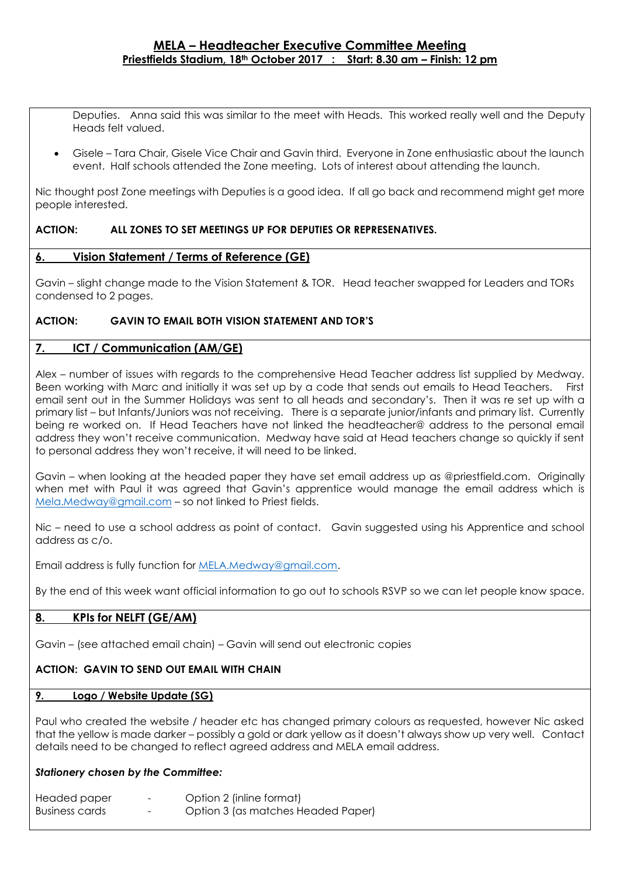Deputies. Anna said this was similar to the meet with Heads. This worked really well and the Deputy Heads felt valued.

 Gisele – Tara Chair, Gisele Vice Chair and Gavin third. Everyone in Zone enthusiastic about the launch event. Half schools attended the Zone meeting. Lots of interest about attending the launch.

Nic thought post Zone meetings with Deputies is a good idea. If all go back and recommend might get more people interested.

## **ACTION: ALL ZONES TO SET MEETINGS UP FOR DEPUTIES OR REPRESENATIVES.**

## **6. Vision Statement / Terms of Reference (GE)**

Gavin – slight change made to the Vision Statement & TOR. Head teacher swapped for Leaders and TORs condensed to 2 pages.

## **ACTION: GAVIN TO EMAIL BOTH VISION STATEMENT AND TOR'S**

## **7. ICT / Communication (AM/GE)**

Alex – number of issues with regards to the comprehensive Head Teacher address list supplied by Medway. Been working with Marc and initially it was set up by a code that sends out emails to Head Teachers. First email sent out in the Summer Holidays was sent to all heads and secondary's. Then it was re set up with a primary list – but Infants/Juniors was not receiving. There is a separate junior/infants and primary list. Currently being re worked on. If Head Teachers have not linked the headteacher@ address to the personal email address they won't receive communication. Medway have said at Head teachers change so quickly if sent to personal address they won't receive, it will need to be linked.

Gavin – when looking at the headed paper they have set email address up as @priestfield.com. Originally when met with Paul it was agreed that Gavin's apprentice would manage the email address which is [Mela.Medway@gmail.com](mailto:Mela.Medway@gmail.com) – so not linked to Priest fields.

Nic – need to use a school address as point of contact. Gavin suggested using his Apprentice and school address as c/o.

Email address is fully function for [MELA.Medway@gmail.com.](mailto:MELA.Medway@gmail.com)

By the end of this week want official information to go out to schools RSVP so we can let people know space.

# **8. KPIs for NELFT (GE/AM)**

Gavin – (see attached email chain) – Gavin will send out electronic copies

## **ACTION: GAVIN TO SEND OUT EMAIL WITH CHAIN**

#### **9. Logo / Website Update (SG)**

Paul who created the website / header etc has changed primary colours as requested, however Nic asked that the yellow is made darker – possibly a gold or dark yellow as it doesn't always show up very well. Contact details need to be changed to reflect agreed address and MELA email address.

## *Stationery chosen by the Committee:*

| Headed paper          | -                        | Option 2 (inline format)           |
|-----------------------|--------------------------|------------------------------------|
| <b>Business cards</b> | $\overline{\phantom{a}}$ | Option 3 (as matches Headed Paper) |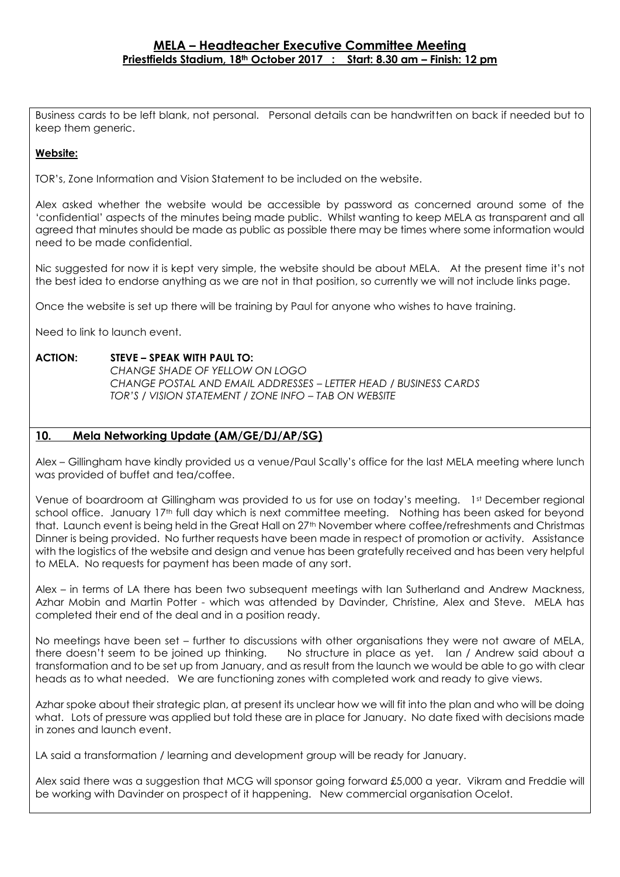Business cards to be left blank, not personal. Personal details can be handwritten on back if needed but to keep them generic.

# **Website:**

TOR's, Zone Information and Vision Statement to be included on the website.

Alex asked whether the website would be accessible by password as concerned around some of the 'confidential' aspects of the minutes being made public. Whilst wanting to keep MELA as transparent and all agreed that minutes should be made as public as possible there may be times where some information would need to be made confidential.

Nic suggested for now it is kept very simple, the website should be about MELA. At the present time it's not the best idea to endorse anything as we are not in that position, so currently we will not include links page.

Once the website is set up there will be training by Paul for anyone who wishes to have training.

Need to link to launch event.

## **ACTION: STEVE – SPEAK WITH PAUL TO:**

*CHANGE SHADE OF YELLOW ON LOGO CHANGE POSTAL AND EMAIL ADDRESSES – LETTER HEAD / BUSINESS CARDS TOR'S / VISION STATEMENT / ZONE INFO – TAB ON WEBSITE*

## **10. Mela Networking Update (AM/GE/DJ/AP/SG)**

Alex – Gillingham have kindly provided us a venue/Paul Scally's office for the last MELA meeting where lunch was provided of buffet and tea/coffee.

Venue of boardroom at Gillingham was provided to us for use on today's meeting. 1st December regional school office. January 17<sup>th</sup> full day which is next committee meeting. Nothing has been asked for beyond that. Launch event is being held in the Great Hall on 27<sup>th</sup> November where coffee/refreshments and Christmas Dinner is being provided. No further requests have been made in respect of promotion or activity. Assistance with the logistics of the website and design and venue has been gratefully received and has been very helpful to MELA. No requests for payment has been made of any sort.

Alex – in terms of LA there has been two subsequent meetings with Ian Sutherland and Andrew Mackness, Azhar Mobin and Martin Potter - which was attended by Davinder, Christine, Alex and Steve. MELA has completed their end of the deal and in a position ready.

No meetings have been set – further to discussions with other organisations they were not aware of MELA, there doesn't seem to be joined up thinking. No structure in place as yet. Ian / Andrew said about a transformation and to be set up from January, and as result from the launch we would be able to go with clear heads as to what needed. We are functioning zones with completed work and ready to give views.

Azhar spoke about their strategic plan, at present its unclear how we will fit into the plan and who will be doing what. Lots of pressure was applied but told these are in place for January. No date fixed with decisions made in zones and launch event.

LA said a transformation / learning and development group will be ready for January.

Alex said there was a suggestion that MCG will sponsor going forward £5,000 a year. Vikram and Freddie will be working with Davinder on prospect of it happening. New commercial organisation Ocelot.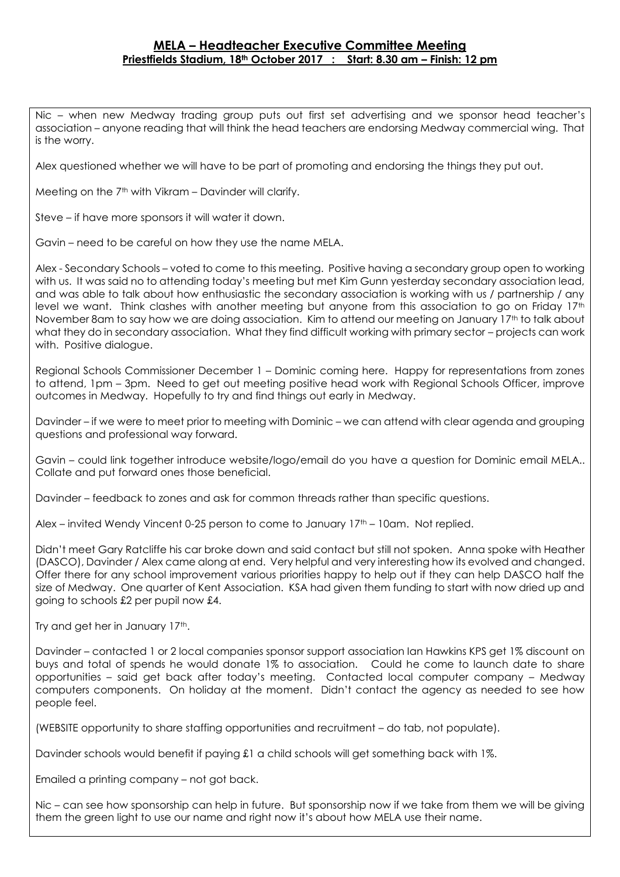Nic – when new Medway trading group puts out first set advertising and we sponsor head teacher's association – anyone reading that will think the head teachers are endorsing Medway commercial wing. That is the worry.

Alex questioned whether we will have to be part of promoting and endorsing the things they put out.

Meeting on the 7<sup>th</sup> with Vikram – Davinder will clarify.

Steve – if have more sponsors it will water it down.

Gavin – need to be careful on how they use the name MELA.

Alex - Secondary Schools – voted to come to this meeting. Positive having a secondary group open to working with us. It was said no to attending today's meeting but met Kim Gunn yesterday secondary association lead, and was able to talk about how enthusiastic the secondary association is working with us / partnership / any level we want. Think clashes with another meeting but anyone from this association to go on Friday  $17<sup>th</sup>$ November 8am to say how we are doing association. Kim to attend our meeting on January 17th to talk about what they do in secondary association. What they find difficult working with primary sector – projects can work with. Positive dialogue.

Regional Schools Commissioner December 1 – Dominic coming here. Happy for representations from zones to attend, 1pm – 3pm. Need to get out meeting positive head work with Regional Schools Officer, improve outcomes in Medway. Hopefully to try and find things out early in Medway.

Davinder – if we were to meet prior to meeting with Dominic – we can attend with clear agenda and grouping questions and professional way forward.

Gavin – could link together introduce website/logo/email do you have a question for Dominic email MELA.. Collate and put forward ones those beneficial.

Davinder – feedback to zones and ask for common threads rather than specific questions.

Alex – invited Wendy Vincent 0-25 person to come to January  $17<sup>th</sup>$  – 10am. Not replied.

Didn't meet Gary Ratcliffe his car broke down and said contact but still not spoken. Anna spoke with Heather (DASCO), Davinder / Alex came along at end. Very helpful and very interesting how its evolved and changed. Offer there for any school improvement various priorities happy to help out if they can help DASCO half the size of Medway. One quarter of Kent Association. KSA had given them funding to start with now dried up and going to schools £2 per pupil now £4.

Try and get her in January 17th.

Davinder – contacted 1 or 2 local companies sponsor support association Ian Hawkins KPS get 1% discount on buys and total of spends he would donate 1% to association. Could he come to launch date to share opportunities – said get back after today's meeting. Contacted local computer company – Medway computers components. On holiday at the moment. Didn't contact the agency as needed to see how people feel.

(WEBSITE opportunity to share staffing opportunities and recruitment – do tab, not populate).

Davinder schools would benefit if paying £1 a child schools will get something back with 1%.

Emailed a printing company – not got back.

Nic – can see how sponsorship can help in future. But sponsorship now if we take from them we will be giving them the green light to use our name and right now it's about how MELA use their name.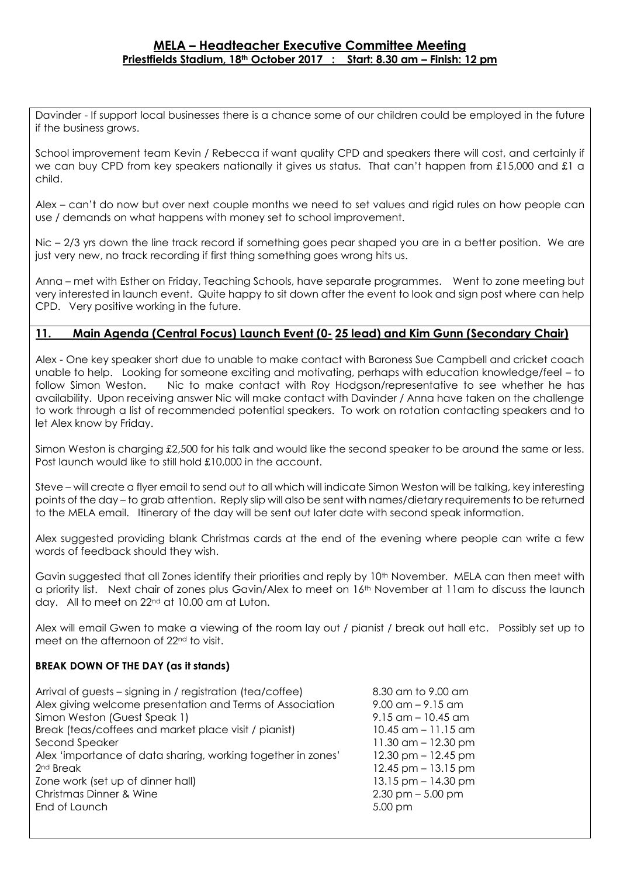Davinder - If support local businesses there is a chance some of our children could be employed in the future if the business grows.

School improvement team Kevin / Rebecca if want quality CPD and speakers there will cost, and certainly if we can buy CPD from key speakers nationally it gives us status. That can't happen from £15,000 and £1 a child.

Alex – can't do now but over next couple months we need to set values and rigid rules on how people can use / demands on what happens with money set to school improvement.

Nic – 2/3 yrs down the line track record if something goes pear shaped you are in a better position. We are just very new, no track recording if first thing something goes wrong hits us.

Anna – met with Esther on Friday, Teaching Schools, have separate programmes. Went to zone meeting but very interested in launch event. Quite happy to sit down after the event to look and sign post where can help CPD. Very positive working in the future.

# **11. Main Agenda (Central Focus) Launch Event (0- 25 lead) and Kim Gunn (Secondary Chair)**

Alex - One key speaker short due to unable to make contact with Baroness Sue Campbell and cricket coach unable to help. Looking for someone exciting and motivating, perhaps with education knowledge/feel – to follow Simon Weston. Nic to make contact with Roy Hodgson/representative to see whether he has availability. Upon receiving answer Nic will make contact with Davinder / Anna have taken on the challenge to work through a list of recommended potential speakers. To work on rotation contacting speakers and to let Alex know by Friday.

Simon Weston is charging £2,500 for his talk and would like the second speaker to be around the same or less. Post launch would like to still hold £10,000 in the account.

Steve – will create a flyer email to send out to all which will indicate Simon Weston will be talking, key interesting points of the day – to grab attention. Reply slip will also be sent with names/dietary requirements to be returned to the MELA email. Itinerary of the day will be sent out later date with second speak information.

Alex suggested providing blank Christmas cards at the end of the evening where people can write a few words of feedback should they wish.

Gavin suggested that all Zones identify their priorities and reply by 10th November. MELA can then meet with a priority list. Next chair of zones plus Gavin/Alex to meet on 16<sup>th</sup> November at 11am to discuss the launch day. All to meet on 22nd at 10.00 am at Luton.

Alex will email Gwen to make a viewing of the room lay out / pianist / break out hall etc. Possibly set up to meet on the afternoon of 22<sup>nd</sup> to visit.

## **BREAK DOWN OF THE DAY (as it stands)**

| Arrival of guests – signing in / registration (tea/coffee)<br>Alex giving welcome presentation and Terms of Association<br>Simon Weston (Guest Speak 1)<br>Break (teas/coffees and market place visit / pianist)<br>Second Speaker<br>Alex 'importance of data sharing, working together in zones'<br>2 <sup>nd</sup> Break<br>Zone work (set up of dinner hall)<br>Christmas Dinner & Wine | 8.30 am to 9.00 am<br>$9.00 \text{ cm} - 9.15 \text{ cm}$<br>$9.15$ am $-10.45$ am<br>$10.45$ am $-11.15$ am<br>11.30 $\text{cm} - 12.30 \text{ pm}$<br>$12.30$ pm $-12.45$ pm<br>$12.45$ pm $-13.15$ pm<br>$13.15$ pm $-14.30$ pm<br>$2.30$ pm $-5.00$ pm |
|---------------------------------------------------------------------------------------------------------------------------------------------------------------------------------------------------------------------------------------------------------------------------------------------------------------------------------------------------------------------------------------------|------------------------------------------------------------------------------------------------------------------------------------------------------------------------------------------------------------------------------------------------------------|
| End of Launch                                                                                                                                                                                                                                                                                                                                                                               | 5.00 pm                                                                                                                                                                                                                                                    |
|                                                                                                                                                                                                                                                                                                                                                                                             |                                                                                                                                                                                                                                                            |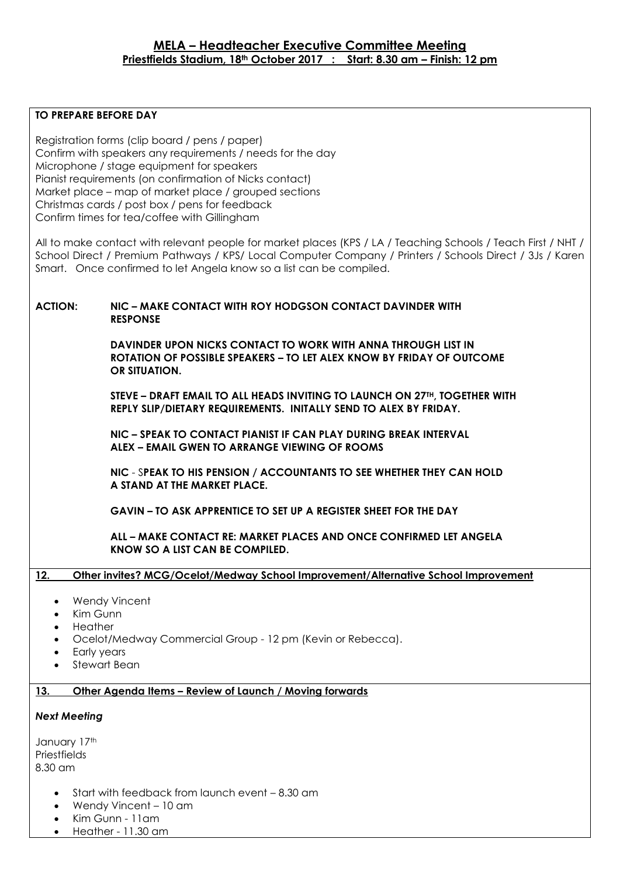#### **TO PREPARE BEFORE DAY**

Registration forms (clip board / pens / paper) Confirm with speakers any requirements / needs for the day Microphone / stage equipment for speakers Pianist requirements (on confirmation of Nicks contact) Market place – map of market place / grouped sections Christmas cards / post box / pens for feedback Confirm times for tea/coffee with Gillingham All to make contact with relevant people for market places (KPS / LA / Teaching Schools / Teach First / NHT / School Direct / Premium Pathways / KPS/ Local Computer Company / Printers / Schools Direct / 3Js / Karen Smart. Once confirmed to let Angela know so a list can be compiled. **ACTION: NIC – MAKE CONTACT WITH ROY HODGSON CONTACT DAVINDER WITH RESPONSE DAVINDER UPON NICKS CONTACT TO WORK WITH ANNA THROUGH LIST IN ROTATION OF POSSIBLE SPEAKERS – TO LET ALEX KNOW BY FRIDAY OF OUTCOME OR SITUATION. STEVE – DRAFT EMAIL TO ALL HEADS INVITING TO LAUNCH ON 27TH, TOGETHER WITH REPLY SLIP/DIETARY REQUIREMENTS. INITALLY SEND TO ALEX BY FRIDAY. NIC – SPEAK TO CONTACT PIANIST IF CAN PLAY DURING BREAK INTERVAL ALEX – EMAIL GWEN TO ARRANGE VIEWING OF ROOMS NIC** - S**PEAK TO HIS PENSION / ACCOUNTANTS TO SEE WHETHER THEY CAN HOLD A STAND AT THE MARKET PLACE. GAVIN – TO ASK APPRENTICE TO SET UP A REGISTER SHEET FOR THE DAY ALL – MAKE CONTACT RE: MARKET PLACES AND ONCE CONFIRMED LET ANGELA KNOW SO A LIST CAN BE COMPILED. 12. Other invites? MCG/Ocelot/Medway School Improvement/Alternative School Improvement** Wendy Vincent Kim Gunn **Heather**  Ocelot/Medway Commercial Group - 12 pm (Kevin or Rebecca). Early years Stewart Bean

## **13. Other Agenda Items – Review of Launch / Moving forwards**

#### *Next Meeting*

January 17th **Priestfields** 8.30 am

- Start with feedback from launch event 8.30 am
- Wendy Vincent 10 am
- Kim Gunn 11am
- Heather 11.30 am